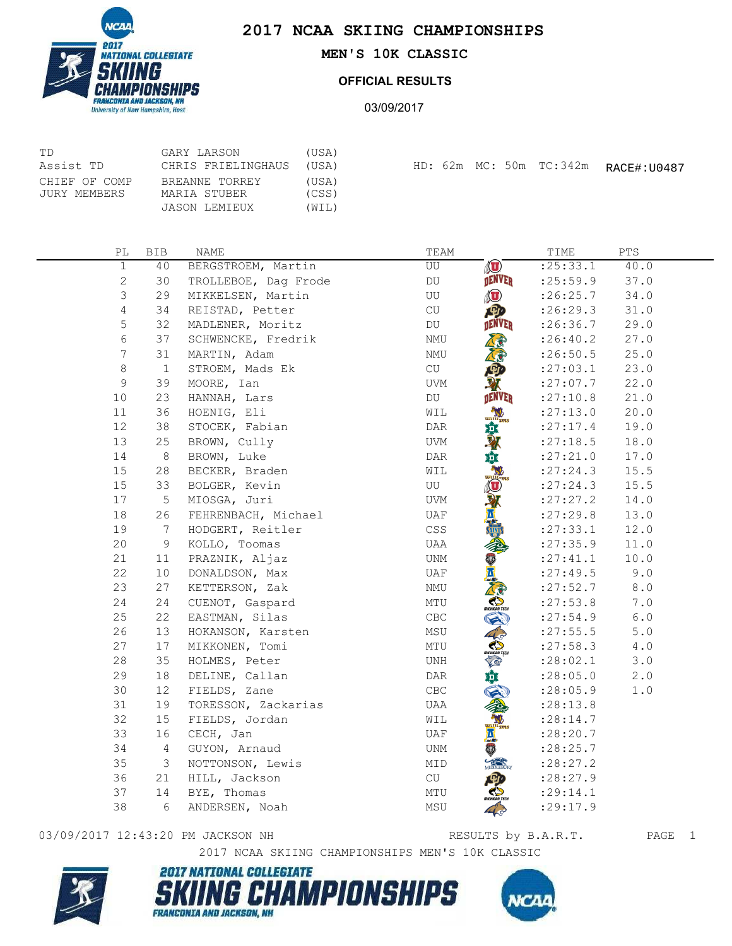



## **MEN'S 10K CLASSIC**

## **OFFICIAL RESULTS**

03/09/2017

| TD            | GARY LARSON        | (USA) |  |  |                         |             |
|---------------|--------------------|-------|--|--|-------------------------|-------------|
| Assist TD     | CHRIS FRIELINGHAUS | (USA) |  |  | HD: 62m MC: 50m TC:342m | RACE#:U0487 |
| CHIEF OF COMP | BREANNE TORREY     | (USA) |  |  |                         |             |
| JURY MEMBERS  | MARIA STUBER       | (CSS) |  |  |                         |             |
|               | JASON LEMIEUX      | (WIL) |  |  |                         |             |

| РL             | <b>BIB</b>   | NAME                 | TEAM                                                       | TIME       | ${\tt PTS}$ |
|----------------|--------------|----------------------|------------------------------------------------------------|------------|-------------|
| $\mathbf 1$    | 40           | BERGSTROEM, Martin   | $\circledast$<br>UU                                        | : 25: 33.1 | 40.0        |
| $\overline{c}$ | 30           | TROLLEBOE, Dag Frode | <b>DENVER</b><br>DU                                        | : 25:59.9  | 37.0        |
| 3              | 29           | MIKKELSEN, Martin    | <b>O</b><br>UU                                             | : 26: 25.7 | 34.0        |
| $\overline{4}$ | 34           | REISTAD, Petter      | 四<br>CU                                                    | :26:29.3   | 31.0        |
| 5              | 32           | MADLENER, Moritz     | DENVER<br>DU                                               | :26:36.7   | 29.0        |
| 6              | 37           | SCHWENCKE, Fredrik   | $\mathop{\rm NMU}\nolimits$                                | : 26: 40.2 | 27.0        |
| 7              | 31           | MARTIN, Adam         | NMU                                                        | : 26:50.5  | 25.0        |
| 8              | $\mathbf{1}$ | STROEM, Mads Ek      | CU                                                         | : 27:03.1  | 23.0        |
| 9              | 39           | MOORE, Ian           | <b>UVM</b>                                                 | : 27:07.7  | 22.0        |
| 10             | 23           | HANNAH, Lars         | <b>DENVER</b><br>DU                                        | :27:10.8   | 21.0        |
| 11             | 36           | HOENIG, Eli          | $w$ <sup>11</sup> ams<br>WIL                               | : 27:13.0  | 20.0        |
| 12             | 38           | STOCEK, Fabian       | $\texttt{DAR}$                                             | : 27: 17.4 | 19.0        |
| 13             | 25           | BROWN, Cully         | 尊承<br>UVM                                                  | : 27:18.5  | 18.0        |
| 14             | $\,8\,$      | BROWN, Luke          | 垚<br>DAR                                                   | :27:21.0   | 17.0        |
| 15             | 28           | BECKER, Braden       | WIL<br>Williams                                            | : 27: 24.3 | 15.5        |
| 15             | 33           | BOLGER, Kevin        | UU<br>$\bigcirc$                                           | : 27: 24.3 | 15.5        |
| 17             | 5            | MIOSGA, Juri         | Y<br>UVM                                                   | : 27: 27.2 | 14.0        |
| 18             | 26           | FEHRENBACH, Michael  | UAF                                                        | : 27: 29.8 | 13.0        |
| 19             | 7            | HODGERT, Reitler     | CSS                                                        | : 27: 33.1 | 12.0        |
| 20             | 9            | KOLLO, Toomas        | UAA                                                        | : 27:35.9  | 11.0        |
| 21             | 11           | PRAZNIK, Aljaz       | W<br>UNM                                                   | : 27: 41.1 | 10.0        |
| 22             | 10           | DONALDSON, Max       | UAF                                                        | : 27: 49.5 | 9.0         |
| 23             | 27           | KETTERSON, Zak       | NMU                                                        | : 27:52.7  | $8.0$       |
| 24             | 24           | CUENOT, Gaspard      | MTU                                                        | : 27: 53.8 | 7.0         |
| 25             | 22           | EASTMAN, Silas       | CBC                                                        | : 27:54.9  | $6.0$       |
| 26             | 13           | HOKANSON, Karsten    | MSU                                                        | : 27: 55.5 | $5.0$       |
| 27             | $17$         | MIKKONEN, Tomi       | MTU                                                        | : 27:58.3  | $4\cdot 0$  |
| 28             | 35           | HOLMES, Peter        | UNH                                                        | : 28:02.1  | 3.0         |
| 29             | 18           | DELINE, Callan       | DAR                                                        | : 28:05.0  | 2.0         |
| 30             | 12           | FIELDS, Zane         | $\mathsf{CBC}$                                             | : 28:05.9  | 1.0         |
| 31             | 19           | TORESSON, Zackarias  | UAA                                                        | : 28:13.8  |             |
| 32             | 15           | FIELDS, Jordan       | WIL<br>$\underbrace{\text{wui}}$ $\overline{\text{v}}$ ams | : 28:14.7  |             |
| 33             | 16           | CECH, Jan            | 凰<br>UAF                                                   | :28:20.7   |             |
| 34             | 4            | GUYON, Arnaud        | V<br>UNM                                                   | :28:25.7   |             |
| 35             | 3            | NOTTONSON, Lewis     | MIDDLEBURY<br>MID                                          | : 28: 27.2 |             |
| 36             | 21           | HILL, Jackson        | CU                                                         | :28:27.9   |             |
| 37             | 14           | BYE, Thomas          | MTU                                                        | : 29:14.1  |             |
| 38             | 6            | ANDERSEN, Noah       | MSU                                                        | :29:17.9   |             |

## 03/09/2017 12:43:20 PM JACKSON NH RESULTS by B.A.R.T. PAGE 1

2017 NCAA SKIING CHAMPIONSHIPS MEN'S 10K CLASSIC